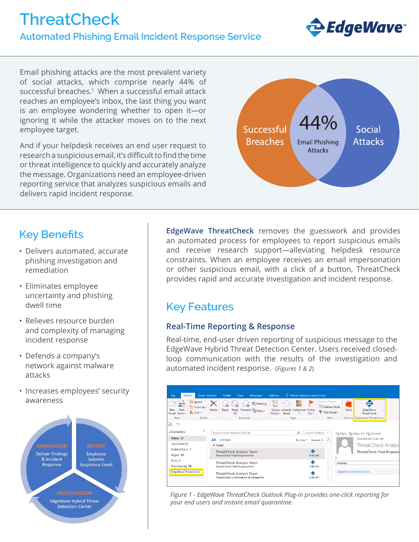# **ThreatCheck Automated Phishing Email Incident Response Service**



Email phishing attacks are the most prevalent variety of social attacks, which comprise nearly 44% of successful breaches.<sup>1</sup> When a successful email attack reaches an employee's inbox, the last thing you want is an employee wondering whether to open it—or ignoring it while the attacker moves on to the next employee target.

And if your helpdesk receives an end user request to research a suspicious email, it's difficult to find the time or threat intelligence to quickly and accurately analyze the message. Organizations need an employee-driven reporting service that analyzes suspicious emails and delivers rapid incident response.



## **Key Benefits**

- Delivers automated, accurate phishing investigation and remediation
- Eliminates employee uncertainty and phishing dwell time
- Relieves resource burden and complexity of managing incident response
- Defends a company's network against malware attacks
- Increases employees' security awareness



**EdgeWave ThreatCheck** removes the guesswork and provides an automated process for employees to report suspicious emails and receive research support—alleviating helpdesk resource constraints. When an employee receives an email impersonation or other suspicious email, with a click of a button, ThreatCheck provides rapid and accurate investigation and incident response.

## **Key Features**

### **Real-Time Reporting & Response**

Real-time, end-user driven reporting of suspicious message to the EdgeWave Hybrid Threat Detection Center. Users received closedloop communication with the results of the investigation and automated incident response. (*Figures 1 & 2*)

| Send / Receive<br>Home<br>File                                                                    | Folder<br>View<br><b>Developer</b>                                                      | Add-ins<br>$\Omega$ Tell me what you want to do                                                                                            |                                                                            |
|---------------------------------------------------------------------------------------------------|-----------------------------------------------------------------------------------------|--------------------------------------------------------------------------------------------------------------------------------------------|----------------------------------------------------------------------------|
| <b>Ex</b> Ignore<br>æ.<br>Clean Up -<br>New<br>New<br>on Junk -<br>Email Items v<br>Delete<br>New | <b>D</b> Meeting<br>Delete<br>Reply<br>Reply Forward <b>En</b> More *<br>All<br>Respond | Search People<br>H<br><b>Address Book</b><br>Assign Unread/ Categorize Follow<br>Filter Email *<br>Policy * Read<br>$Up -$<br>Tags<br>Find | രം<br>e<br>EdgeWave<br>Store<br>TheatCheck<br>Add-ins EdgeWave ThreatCheck |
| 區<br>ь<br>▲ Favorites                                                                             | Search Current Mailbox (Ctrl+E)                                                         | م<br><b>Current Mailbox</b><br>٠.                                                                                                          | Q Reply (Q Reply All Q Forward                                             |
| Inbox 55                                                                                          | Unread<br>ΔII                                                                           | $\blacktriangle$<br>By Date *<br>Newest $\frac{1}{2}$                                                                                      | Wed 9/6/2017 8:41 AM                                                       |
| Junk Email [3]                                                                                    | 4 Today                                                                                 |                                                                                                                                            | <b>ThreatCheck Analysl</b>                                                 |
| Deleted Items 7<br>Digest 36                                                                      | <b>ThreatCheck Analysis Team</b><br><b>ThreatCheck Final Response for</b>               | ⊕<br>8:42 AM                                                                                                                               | <b>ThreatCheck Final Response</b><br>To                                    |
| Evals <sub>1</sub><br>Provisioning 58                                                             | <b>ThreatCheck Analysis Team</b><br><b>ThreatCheck Final Response for</b>               | ⊕<br>7:00 AM                                                                                                                               | Archived                                                                   |
| EdgeWaveThreatCheck                                                                               | <b>ThreatCheck Analysis Team</b><br>ThreatCheck Confirmation of Receipt for             | ٠<br>6:59 AM                                                                                                                               | EdgeWave Archive Outloo                                                    |

*Figure 1 - EdgeWave ThreatCheck Outlook Plug-in provides one-click reporting for your end users and instant email quarantine.*